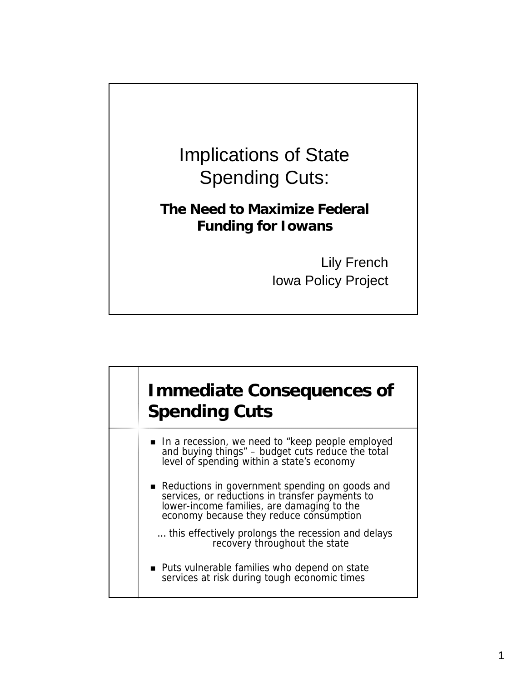

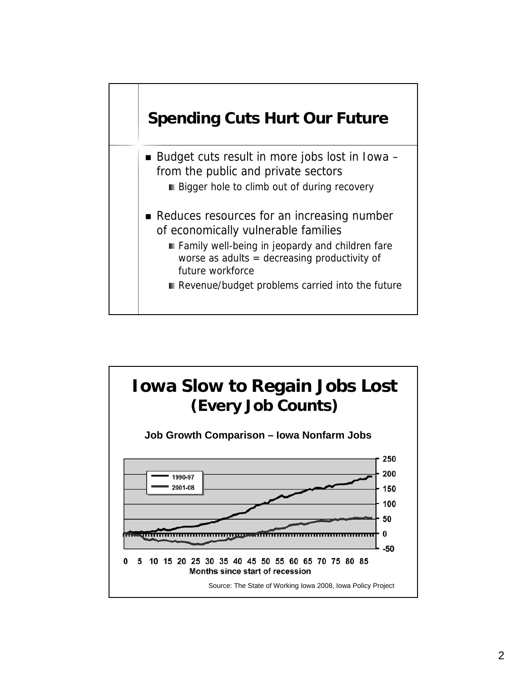

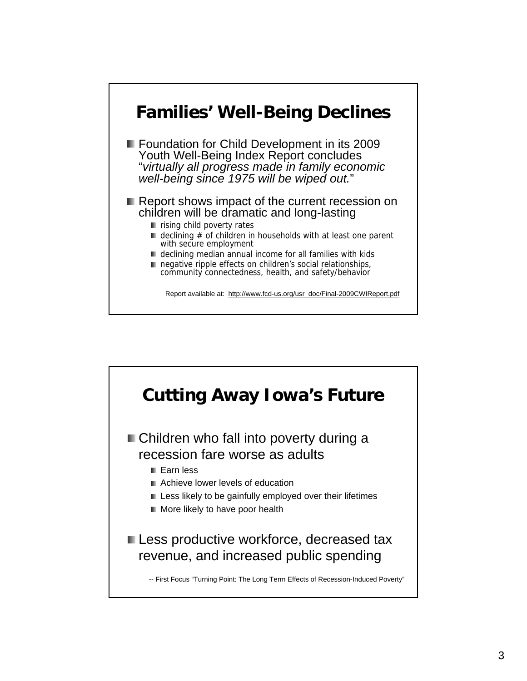

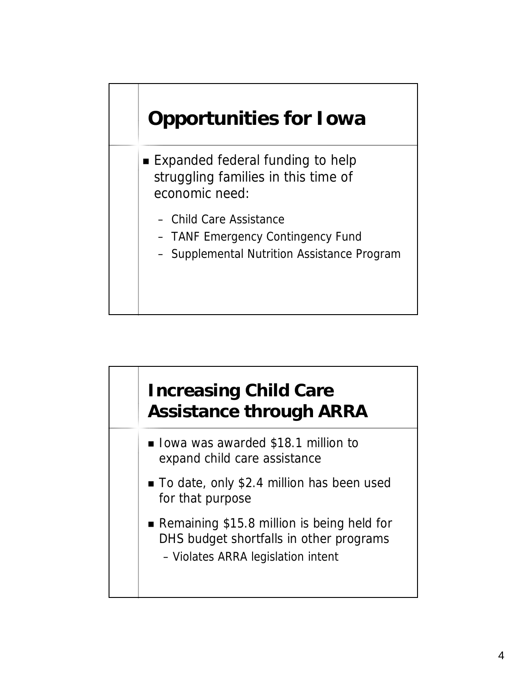## **Opportunities for Iowa**

- Expanded federal funding to help struggling families in this time of economic need:
	- Child Care Assistance
	- TANF Emergency Contingency Fund
	- Supplemental Nutrition Assistance Program

## **Increasing Child Care Assistance through ARRA**

- **Iowa was awarded \$18.1 million to** expand child care assistance
- To date, only \$2.4 million has been used for that purpose
- Remaining \$15.8 million is being held for DHS budget shortfalls in other programs
	- Violates ARRA legislation intent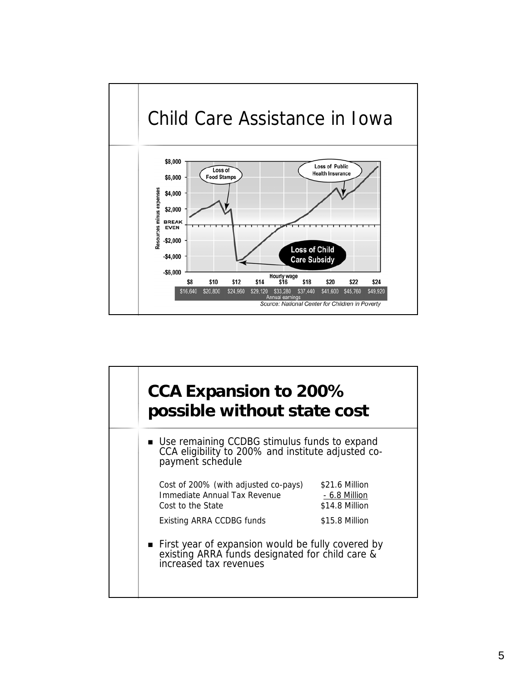

| CCA Expansion to 200%<br>possible without state cost                                                                           |                                                          |  |
|--------------------------------------------------------------------------------------------------------------------------------|----------------------------------------------------------|--|
| Use remaining CCDBG stimulus funds to expand<br>CCA eligibility to 200% and institute adjusted co-<br>payment schedule         |                                                          |  |
| Cost of 200% (with adjusted co-pays)<br>Immediate Annual Tax Revenue<br>Cost to the State                                      | \$21.6 Million<br><u>- 6.8 Million</u><br>\$14.8 Million |  |
| <b>Existing ARRA CCDBG funds</b>                                                                                               | \$15.8 Million                                           |  |
| First year of expansion would be fully covered by<br>existing ARRA funds designated for child care &<br>increased tax revenues |                                                          |  |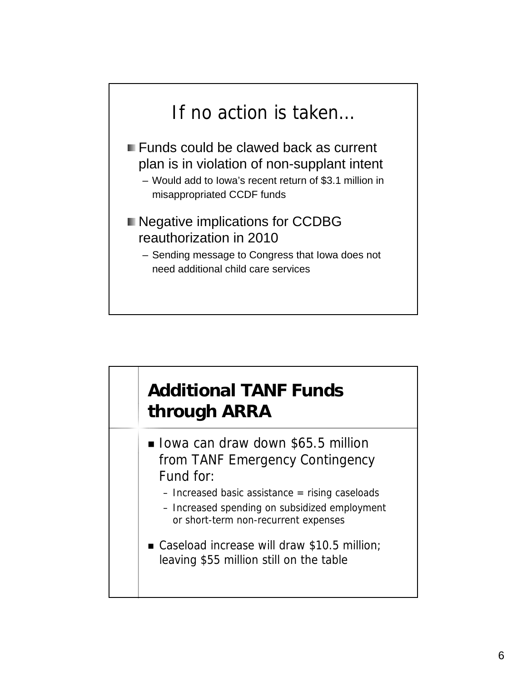

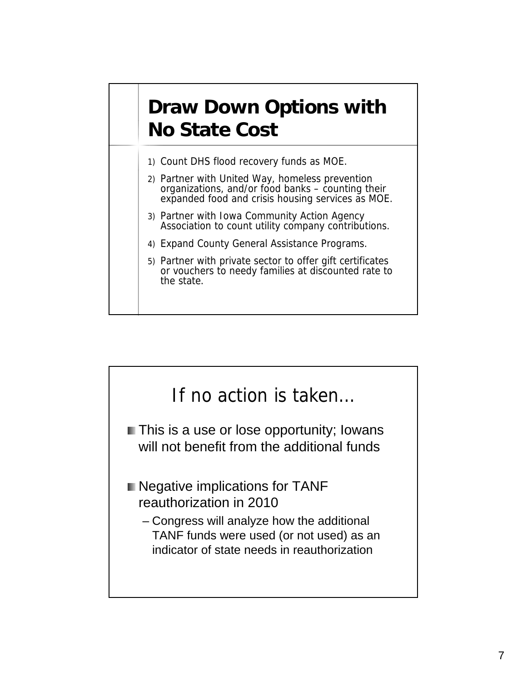## **Draw Down Options with No State Cost**

- 1) Count DHS flood recovery funds as MOE.
- 2) Partner with United Way, homeless prevention organizations, and/or food banks counting their expanded food and crisis housing services as MOE.
- 3) Partner with Iowa Community Action Agency Association to count utility company contributions.
- 4) Expand County General Assistance Programs.
- 5) Partner with private sector to offer gift certificates or vouchers to needy families at discounted rate to the state.

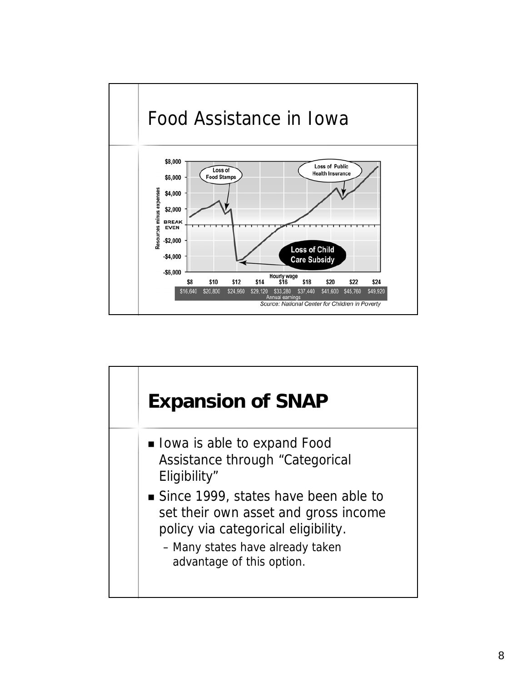

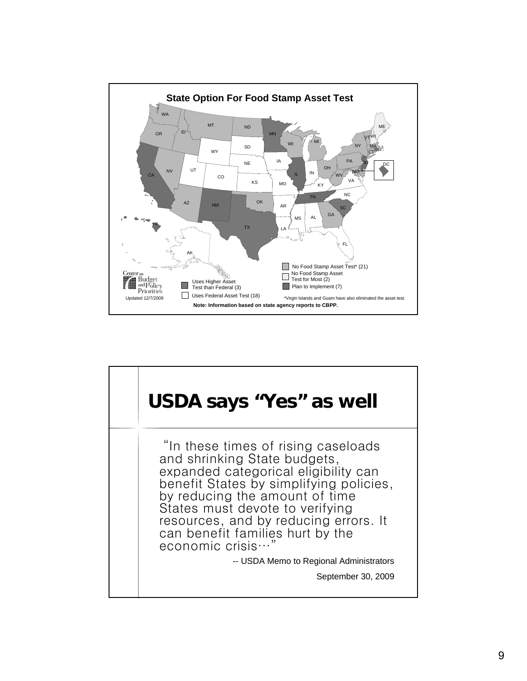

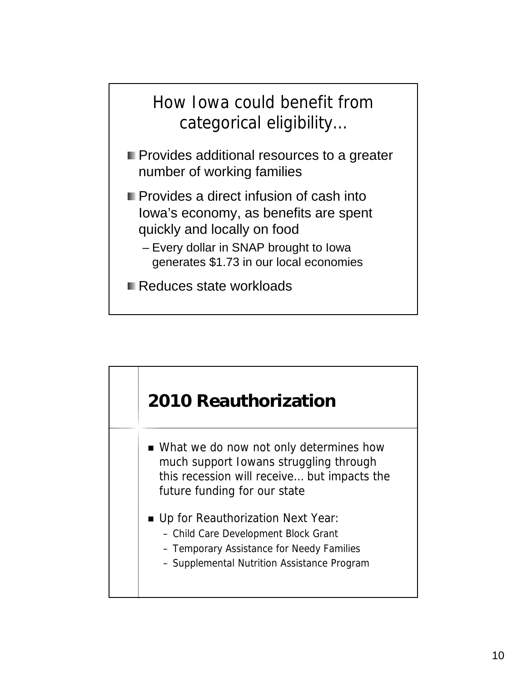